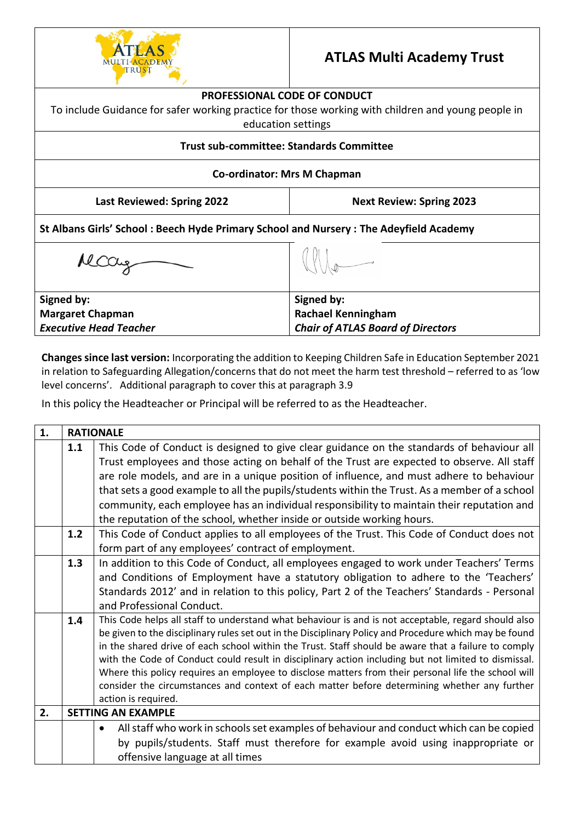

# **ATLAS Multi Academy Trust**

#### **PROFESSIONAL CODE OF CONDUCT**

To include Guidance for safer working practice for those working with children and young people in education settings

#### **Trust sub-committee: Standards Committee**

## **Co-ordinator: Mrs M Chapman**

**Last Reviewed: Spring 2022 Next Review: Spring 2023**

**St Albans Girls' School : Beech Hyde Primary School and Nursery : The Adeyfield Academy**

McCay

**Signed by: Margaret Chapman**  *Executive Head Teacher*

**Changes since last version:** Incorporating the addition to Keeping Children Safe in Education September 2021 in relation to Safeguarding Allegation/concerns that do not meet the harm test threshold – referred to as 'low level concerns'. Additional paragraph to cover this at paragraph 3.9

**Signed by:**

**Rachael Kenningham** 

*Chair of ATLAS Board of Directors*

In this policy the Headteacher or Principal will be referred to as the Headteacher.

| 1. | <b>RATIONALE</b>                                                                                       |                                                                                                                                                                                                     |  |  |  |  |
|----|--------------------------------------------------------------------------------------------------------|-----------------------------------------------------------------------------------------------------------------------------------------------------------------------------------------------------|--|--|--|--|
|    | 1.1                                                                                                    | This Code of Conduct is designed to give clear guidance on the standards of behaviour all                                                                                                           |  |  |  |  |
|    |                                                                                                        | Trust employees and those acting on behalf of the Trust are expected to observe. All staff                                                                                                          |  |  |  |  |
|    |                                                                                                        | are role models, and are in a unique position of influence, and must adhere to behaviour                                                                                                            |  |  |  |  |
|    |                                                                                                        | that sets a good example to all the pupils/students within the Trust. As a member of a school                                                                                                       |  |  |  |  |
|    |                                                                                                        | community, each employee has an individual responsibility to maintain their reputation and                                                                                                          |  |  |  |  |
|    |                                                                                                        | the reputation of the school, whether inside or outside working hours.                                                                                                                              |  |  |  |  |
|    | 1.2                                                                                                    | This Code of Conduct applies to all employees of the Trust. This Code of Conduct does not                                                                                                           |  |  |  |  |
|    |                                                                                                        | form part of any employees' contract of employment.                                                                                                                                                 |  |  |  |  |
|    | 1.3                                                                                                    | In addition to this Code of Conduct, all employees engaged to work under Teachers' Terms                                                                                                            |  |  |  |  |
|    |                                                                                                        | and Conditions of Employment have a statutory obligation to adhere to the 'Teachers'                                                                                                                |  |  |  |  |
|    |                                                                                                        | Standards 2012' and in relation to this policy, Part 2 of the Teachers' Standards - Personal                                                                                                        |  |  |  |  |
|    |                                                                                                        | and Professional Conduct.                                                                                                                                                                           |  |  |  |  |
|    | 1.4                                                                                                    | This Code helps all staff to understand what behaviour is and is not acceptable, regard should also                                                                                                 |  |  |  |  |
|    | be given to the disciplinary rules set out in the Disciplinary Policy and Procedure which may be found |                                                                                                                                                                                                     |  |  |  |  |
|    |                                                                                                        | in the shared drive of each school within the Trust. Staff should be aware that a failure to comply                                                                                                 |  |  |  |  |
|    |                                                                                                        | with the Code of Conduct could result in disciplinary action including but not limited to dismissal.                                                                                                |  |  |  |  |
|    |                                                                                                        | Where this policy requires an employee to disclose matters from their personal life the school will<br>consider the circumstances and context of each matter before determining whether any further |  |  |  |  |
|    |                                                                                                        | action is required.                                                                                                                                                                                 |  |  |  |  |
| 2. |                                                                                                        | <b>SETTING AN EXAMPLE</b>                                                                                                                                                                           |  |  |  |  |
|    |                                                                                                        | All staff who work in schools set examples of behaviour and conduct which can be copied                                                                                                             |  |  |  |  |
|    |                                                                                                        | by pupils/students. Staff must therefore for example avoid using inappropriate or                                                                                                                   |  |  |  |  |
|    |                                                                                                        | offensive language at all times                                                                                                                                                                     |  |  |  |  |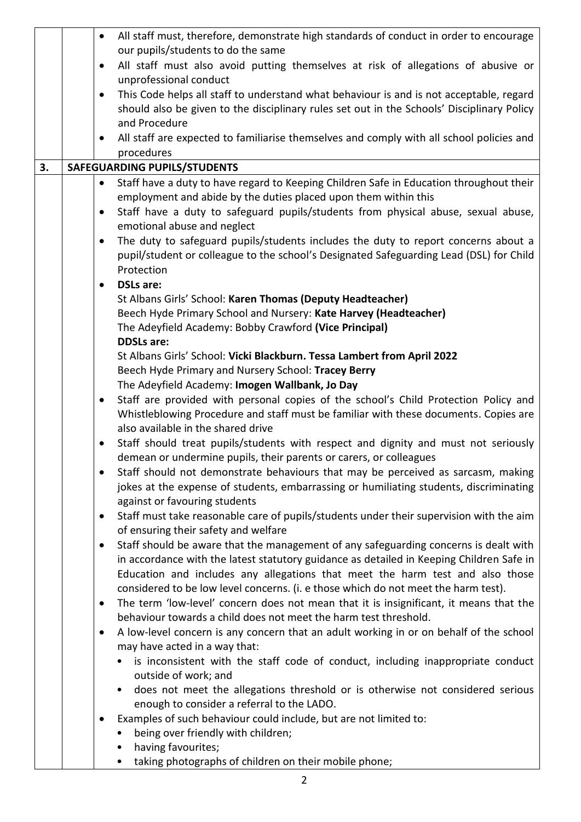|    |                                                                                                                         | All staff must, therefore, demonstrate high standards of conduct in order to encourage                                                                 |  |  |  |
|----|-------------------------------------------------------------------------------------------------------------------------|--------------------------------------------------------------------------------------------------------------------------------------------------------|--|--|--|
|    |                                                                                                                         | our pupils/students to do the same                                                                                                                     |  |  |  |
|    |                                                                                                                         | All staff must also avoid putting themselves at risk of allegations of abusive or<br>٠<br>unprofessional conduct                                       |  |  |  |
|    |                                                                                                                         | This Code helps all staff to understand what behaviour is and is not acceptable, regard<br>$\bullet$                                                   |  |  |  |
|    |                                                                                                                         | should also be given to the disciplinary rules set out in the Schools' Disciplinary Policy                                                             |  |  |  |
|    |                                                                                                                         | and Procedure                                                                                                                                          |  |  |  |
|    |                                                                                                                         | All staff are expected to familiarise themselves and comply with all school policies and<br>$\bullet$                                                  |  |  |  |
|    |                                                                                                                         | procedures                                                                                                                                             |  |  |  |
| 3. | SAFEGUARDING PUPILS/STUDENTS                                                                                            |                                                                                                                                                        |  |  |  |
|    |                                                                                                                         | Staff have a duty to have regard to Keeping Children Safe in Education throughout their<br>$\bullet$                                                   |  |  |  |
|    |                                                                                                                         | employment and abide by the duties placed upon them within this                                                                                        |  |  |  |
|    |                                                                                                                         | Staff have a duty to safeguard pupils/students from physical abuse, sexual abuse,<br>$\bullet$<br>emotional abuse and neglect                          |  |  |  |
|    |                                                                                                                         | The duty to safeguard pupils/students includes the duty to report concerns about a<br>$\bullet$                                                        |  |  |  |
|    |                                                                                                                         | pupil/student or colleague to the school's Designated Safeguarding Lead (DSL) for Child                                                                |  |  |  |
|    |                                                                                                                         | Protection                                                                                                                                             |  |  |  |
|    |                                                                                                                         | <b>DSLs are:</b><br>$\bullet$                                                                                                                          |  |  |  |
|    |                                                                                                                         | St Albans Girls' School: Karen Thomas (Deputy Headteacher)                                                                                             |  |  |  |
|    |                                                                                                                         | Beech Hyde Primary School and Nursery: Kate Harvey (Headteacher)                                                                                       |  |  |  |
|    |                                                                                                                         | The Adeyfield Academy: Bobby Crawford (Vice Principal)                                                                                                 |  |  |  |
|    |                                                                                                                         | <b>DDSLs are:</b>                                                                                                                                      |  |  |  |
|    |                                                                                                                         | St Albans Girls' School: Vicki Blackburn. Tessa Lambert from April 2022                                                                                |  |  |  |
|    |                                                                                                                         | Beech Hyde Primary and Nursery School: Tracey Berry                                                                                                    |  |  |  |
|    |                                                                                                                         | The Adeyfield Academy: Imogen Wallbank, Jo Day                                                                                                         |  |  |  |
|    |                                                                                                                         | Staff are provided with personal copies of the school's Child Protection Policy and<br>$\bullet$                                                       |  |  |  |
|    |                                                                                                                         | Whistleblowing Procedure and staff must be familiar with these documents. Copies are                                                                   |  |  |  |
|    |                                                                                                                         | also available in the shared drive                                                                                                                     |  |  |  |
|    |                                                                                                                         | Staff should treat pupils/students with respect and dignity and must not seriously                                                                     |  |  |  |
|    |                                                                                                                         | demean or undermine pupils, their parents or carers, or colleagues<br>Staff should not demonstrate behaviours that may be perceived as sarcasm, making |  |  |  |
|    |                                                                                                                         |                                                                                                                                                        |  |  |  |
|    | jokes at the expense of students, embarrassing or humiliating students, discriminating<br>against or favouring students |                                                                                                                                                        |  |  |  |
|    | Staff must take reasonable care of pupils/students under their supervision with the aim<br>$\bullet$                    |                                                                                                                                                        |  |  |  |
|    |                                                                                                                         | of ensuring their safety and welfare                                                                                                                   |  |  |  |
|    |                                                                                                                         | Staff should be aware that the management of any safeguarding concerns is dealt with<br>$\bullet$                                                      |  |  |  |
|    | in accordance with the latest statutory guidance as detailed in Keeping Children Safe in                                |                                                                                                                                                        |  |  |  |
|    | Education and includes any allegations that meet the harm test and also those                                           |                                                                                                                                                        |  |  |  |
|    | considered to be low level concerns. (i. e those which do not meet the harm test).                                      |                                                                                                                                                        |  |  |  |
|    |                                                                                                                         | The term 'low-level' concern does not mean that it is insignificant, it means that the<br>$\bullet$                                                    |  |  |  |
|    |                                                                                                                         | behaviour towards a child does not meet the harm test threshold.                                                                                       |  |  |  |
|    |                                                                                                                         | A low-level concern is any concern that an adult working in or on behalf of the school                                                                 |  |  |  |
|    |                                                                                                                         | may have acted in a way that:                                                                                                                          |  |  |  |
|    |                                                                                                                         | is inconsistent with the staff code of conduct, including inappropriate conduct<br>outside of work; and                                                |  |  |  |
|    |                                                                                                                         | does not meet the allegations threshold or is otherwise not considered serious<br>$\bullet$                                                            |  |  |  |
|    |                                                                                                                         | enough to consider a referral to the LADO.                                                                                                             |  |  |  |
|    |                                                                                                                         | Examples of such behaviour could include, but are not limited to:                                                                                      |  |  |  |
|    |                                                                                                                         | being over friendly with children;                                                                                                                     |  |  |  |
|    |                                                                                                                         | having favourites;<br>٠                                                                                                                                |  |  |  |
|    |                                                                                                                         | taking photographs of children on their mobile phone;<br>$\bullet$                                                                                     |  |  |  |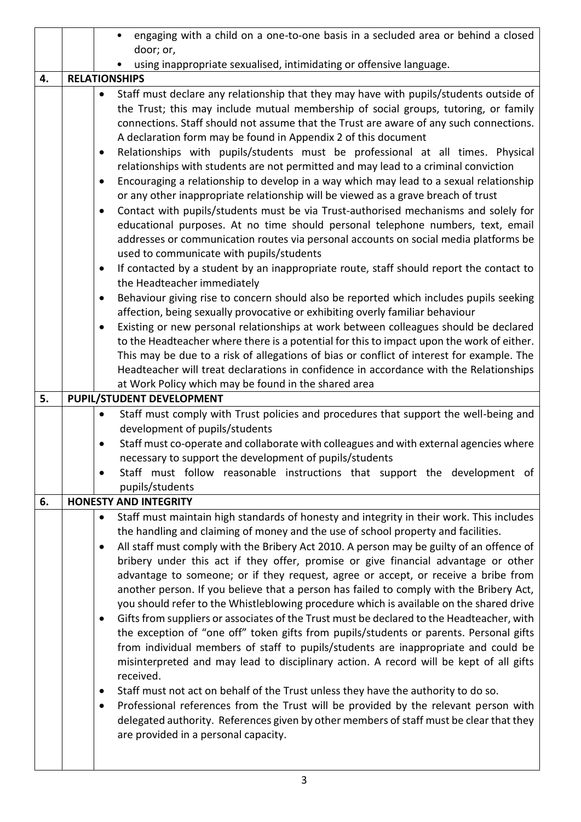|    | engaging with a child on a one-to-one basis in a secluded area or behind a closed<br>$\bullet$                                                                                                                                                                                                                                                                                                                                                                                                                                                                                                                                                                                                                                                                                                                                                                                                                                                                                                                                                                                                                                                                              |                                                                                                                                                                                                                                                                                                                                                                                                                                                                                                                                                                                                                                                                                                                                                                                                                                                                                                                                                                                                                                                                                                                                                                                                                                                                                                                                                                                        |  |  |
|----|-----------------------------------------------------------------------------------------------------------------------------------------------------------------------------------------------------------------------------------------------------------------------------------------------------------------------------------------------------------------------------------------------------------------------------------------------------------------------------------------------------------------------------------------------------------------------------------------------------------------------------------------------------------------------------------------------------------------------------------------------------------------------------------------------------------------------------------------------------------------------------------------------------------------------------------------------------------------------------------------------------------------------------------------------------------------------------------------------------------------------------------------------------------------------------|----------------------------------------------------------------------------------------------------------------------------------------------------------------------------------------------------------------------------------------------------------------------------------------------------------------------------------------------------------------------------------------------------------------------------------------------------------------------------------------------------------------------------------------------------------------------------------------------------------------------------------------------------------------------------------------------------------------------------------------------------------------------------------------------------------------------------------------------------------------------------------------------------------------------------------------------------------------------------------------------------------------------------------------------------------------------------------------------------------------------------------------------------------------------------------------------------------------------------------------------------------------------------------------------------------------------------------------------------------------------------------------|--|--|
|    |                                                                                                                                                                                                                                                                                                                                                                                                                                                                                                                                                                                                                                                                                                                                                                                                                                                                                                                                                                                                                                                                                                                                                                             | door; or,                                                                                                                                                                                                                                                                                                                                                                                                                                                                                                                                                                                                                                                                                                                                                                                                                                                                                                                                                                                                                                                                                                                                                                                                                                                                                                                                                                              |  |  |
|    |                                                                                                                                                                                                                                                                                                                                                                                                                                                                                                                                                                                                                                                                                                                                                                                                                                                                                                                                                                                                                                                                                                                                                                             | using inappropriate sexualised, intimidating or offensive language.                                                                                                                                                                                                                                                                                                                                                                                                                                                                                                                                                                                                                                                                                                                                                                                                                                                                                                                                                                                                                                                                                                                                                                                                                                                                                                                    |  |  |
| 4. |                                                                                                                                                                                                                                                                                                                                                                                                                                                                                                                                                                                                                                                                                                                                                                                                                                                                                                                                                                                                                                                                                                                                                                             | <b>RELATIONSHIPS</b>                                                                                                                                                                                                                                                                                                                                                                                                                                                                                                                                                                                                                                                                                                                                                                                                                                                                                                                                                                                                                                                                                                                                                                                                                                                                                                                                                                   |  |  |
|    | Staff must declare any relationship that they may have with pupils/students outside of<br>$\bullet$<br>the Trust; this may include mutual membership of social groups, tutoring, or family<br>connections. Staff should not assume that the Trust are aware of any such connections.<br>A declaration form may be found in Appendix 2 of this document<br>Relationships with pupils/students must be professional at all times. Physical<br>$\bullet$<br>relationships with students are not permitted and may lead to a criminal conviction<br>Encouraging a relationship to develop in a way which may lead to a sexual relationship<br>$\bullet$<br>or any other inappropriate relationship will be viewed as a grave breach of trust<br>Contact with pupils/students must be via Trust-authorised mechanisms and solely for<br>$\bullet$<br>educational purposes. At no time should personal telephone numbers, text, email<br>addresses or communication routes via personal accounts on social media platforms be<br>used to communicate with pupils/students<br>If contacted by a student by an inappropriate route, staff should report the contact to<br>$\bullet$ |                                                                                                                                                                                                                                                                                                                                                                                                                                                                                                                                                                                                                                                                                                                                                                                                                                                                                                                                                                                                                                                                                                                                                                                                                                                                                                                                                                                        |  |  |
|    |                                                                                                                                                                                                                                                                                                                                                                                                                                                                                                                                                                                                                                                                                                                                                                                                                                                                                                                                                                                                                                                                                                                                                                             | the Headteacher immediately                                                                                                                                                                                                                                                                                                                                                                                                                                                                                                                                                                                                                                                                                                                                                                                                                                                                                                                                                                                                                                                                                                                                                                                                                                                                                                                                                            |  |  |
|    |                                                                                                                                                                                                                                                                                                                                                                                                                                                                                                                                                                                                                                                                                                                                                                                                                                                                                                                                                                                                                                                                                                                                                                             | Behaviour giving rise to concern should also be reported which includes pupils seeking<br>٠<br>affection, being sexually provocative or exhibiting overly familiar behaviour<br>Existing or new personal relationships at work between colleagues should be declared<br>$\bullet$<br>to the Headteacher where there is a potential for this to impact upon the work of either.<br>This may be due to a risk of allegations of bias or conflict of interest for example. The<br>Headteacher will treat declarations in confidence in accordance with the Relationships                                                                                                                                                                                                                                                                                                                                                                                                                                                                                                                                                                                                                                                                                                                                                                                                                  |  |  |
|    |                                                                                                                                                                                                                                                                                                                                                                                                                                                                                                                                                                                                                                                                                                                                                                                                                                                                                                                                                                                                                                                                                                                                                                             | at Work Policy which may be found in the shared area                                                                                                                                                                                                                                                                                                                                                                                                                                                                                                                                                                                                                                                                                                                                                                                                                                                                                                                                                                                                                                                                                                                                                                                                                                                                                                                                   |  |  |
| 5. | <b>PUPIL/STUDENT DEVELOPMENT</b>                                                                                                                                                                                                                                                                                                                                                                                                                                                                                                                                                                                                                                                                                                                                                                                                                                                                                                                                                                                                                                                                                                                                            |                                                                                                                                                                                                                                                                                                                                                                                                                                                                                                                                                                                                                                                                                                                                                                                                                                                                                                                                                                                                                                                                                                                                                                                                                                                                                                                                                                                        |  |  |
|    |                                                                                                                                                                                                                                                                                                                                                                                                                                                                                                                                                                                                                                                                                                                                                                                                                                                                                                                                                                                                                                                                                                                                                                             | Staff must comply with Trust policies and procedures that support the well-being and                                                                                                                                                                                                                                                                                                                                                                                                                                                                                                                                                                                                                                                                                                                                                                                                                                                                                                                                                                                                                                                                                                                                                                                                                                                                                                   |  |  |
|    |                                                                                                                                                                                                                                                                                                                                                                                                                                                                                                                                                                                                                                                                                                                                                                                                                                                                                                                                                                                                                                                                                                                                                                             | development of pupils/students<br>Staff must co-operate and collaborate with colleagues and with external agencies where                                                                                                                                                                                                                                                                                                                                                                                                                                                                                                                                                                                                                                                                                                                                                                                                                                                                                                                                                                                                                                                                                                                                                                                                                                                               |  |  |
|    |                                                                                                                                                                                                                                                                                                                                                                                                                                                                                                                                                                                                                                                                                                                                                                                                                                                                                                                                                                                                                                                                                                                                                                             | necessary to support the development of pupils/students                                                                                                                                                                                                                                                                                                                                                                                                                                                                                                                                                                                                                                                                                                                                                                                                                                                                                                                                                                                                                                                                                                                                                                                                                                                                                                                                |  |  |
|    |                                                                                                                                                                                                                                                                                                                                                                                                                                                                                                                                                                                                                                                                                                                                                                                                                                                                                                                                                                                                                                                                                                                                                                             | Staff must follow reasonable instructions that support the development of                                                                                                                                                                                                                                                                                                                                                                                                                                                                                                                                                                                                                                                                                                                                                                                                                                                                                                                                                                                                                                                                                                                                                                                                                                                                                                              |  |  |
|    |                                                                                                                                                                                                                                                                                                                                                                                                                                                                                                                                                                                                                                                                                                                                                                                                                                                                                                                                                                                                                                                                                                                                                                             | pupils/students                                                                                                                                                                                                                                                                                                                                                                                                                                                                                                                                                                                                                                                                                                                                                                                                                                                                                                                                                                                                                                                                                                                                                                                                                                                                                                                                                                        |  |  |
| 6. |                                                                                                                                                                                                                                                                                                                                                                                                                                                                                                                                                                                                                                                                                                                                                                                                                                                                                                                                                                                                                                                                                                                                                                             | <b>HONESTY AND INTEGRITY</b>                                                                                                                                                                                                                                                                                                                                                                                                                                                                                                                                                                                                                                                                                                                                                                                                                                                                                                                                                                                                                                                                                                                                                                                                                                                                                                                                                           |  |  |
|    |                                                                                                                                                                                                                                                                                                                                                                                                                                                                                                                                                                                                                                                                                                                                                                                                                                                                                                                                                                                                                                                                                                                                                                             | Staff must maintain high standards of honesty and integrity in their work. This includes<br>$\bullet$<br>the handling and claiming of money and the use of school property and facilities.<br>All staff must comply with the Bribery Act 2010. A person may be guilty of an offence of<br>$\bullet$<br>bribery under this act if they offer, promise or give financial advantage or other<br>advantage to someone; or if they request, agree or accept, or receive a bribe from<br>another person. If you believe that a person has failed to comply with the Bribery Act,<br>you should refer to the Whistleblowing procedure which is available on the shared drive<br>Gifts from suppliers or associates of the Trust must be declared to the Headteacher, with<br>the exception of "one off" token gifts from pupils/students or parents. Personal gifts<br>from individual members of staff to pupils/students are inappropriate and could be<br>misinterpreted and may lead to disciplinary action. A record will be kept of all gifts<br>received.<br>Staff must not act on behalf of the Trust unless they have the authority to do so.<br>$\bullet$<br>Professional references from the Trust will be provided by the relevant person with<br>delegated authority. References given by other members of staff must be clear that they<br>are provided in a personal capacity. |  |  |
|    |                                                                                                                                                                                                                                                                                                                                                                                                                                                                                                                                                                                                                                                                                                                                                                                                                                                                                                                                                                                                                                                                                                                                                                             |                                                                                                                                                                                                                                                                                                                                                                                                                                                                                                                                                                                                                                                                                                                                                                                                                                                                                                                                                                                                                                                                                                                                                                                                                                                                                                                                                                                        |  |  |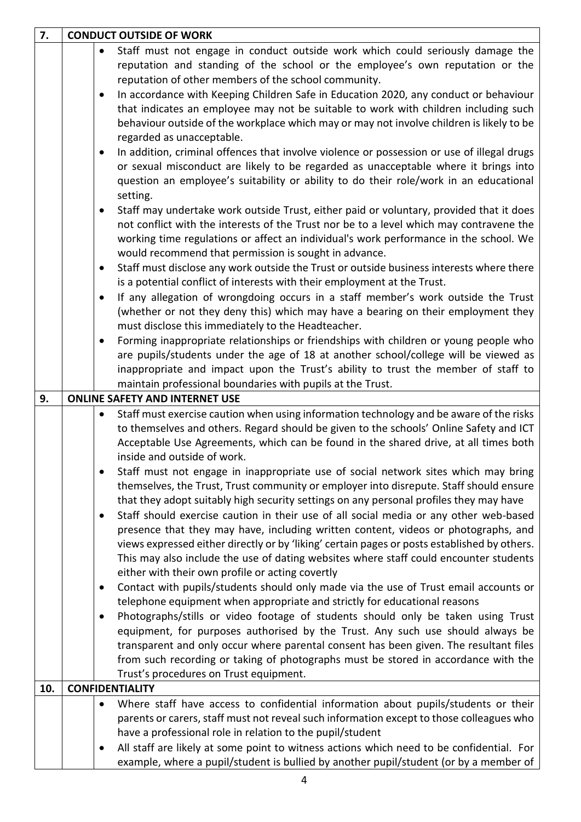| 7.  | <b>CONDUCT OUTSIDE OF WORK</b> |           |                                                                                              |
|-----|--------------------------------|-----------|----------------------------------------------------------------------------------------------|
|     |                                | $\bullet$ | Staff must not engage in conduct outside work which could seriously damage the               |
|     |                                |           | reputation and standing of the school or the employee's own reputation or the                |
|     |                                |           | reputation of other members of the school community.                                         |
|     |                                | $\bullet$ | In accordance with Keeping Children Safe in Education 2020, any conduct or behaviour         |
|     |                                |           | that indicates an employee may not be suitable to work with children including such          |
|     |                                |           | behaviour outside of the workplace which may or may not involve children is likely to be     |
|     |                                |           | regarded as unacceptable.                                                                    |
|     |                                | $\bullet$ | In addition, criminal offences that involve violence or possession or use of illegal drugs   |
|     |                                |           | or sexual misconduct are likely to be regarded as unacceptable where it brings into          |
|     |                                |           | question an employee's suitability or ability to do their role/work in an educational        |
|     |                                |           | setting.                                                                                     |
|     |                                | ٠         | Staff may undertake work outside Trust, either paid or voluntary, provided that it does      |
|     |                                |           |                                                                                              |
|     |                                |           | not conflict with the interests of the Trust nor be to a level which may contravene the      |
|     |                                |           | working time regulations or affect an individual's work performance in the school. We        |
|     |                                |           | would recommend that permission is sought in advance.                                        |
|     |                                | $\bullet$ | Staff must disclose any work outside the Trust or outside business interests where there     |
|     |                                |           | is a potential conflict of interests with their employment at the Trust.                     |
|     |                                | $\bullet$ | If any allegation of wrongdoing occurs in a staff member's work outside the Trust            |
|     |                                |           | (whether or not they deny this) which may have a bearing on their employment they            |
|     |                                |           | must disclose this immediately to the Headteacher.                                           |
|     |                                | $\bullet$ | Forming inappropriate relationships or friendships with children or young people who         |
|     |                                |           | are pupils/students under the age of 18 at another school/college will be viewed as          |
|     |                                |           | inappropriate and impact upon the Trust's ability to trust the member of staff to            |
|     |                                |           | maintain professional boundaries with pupils at the Trust.                                   |
| 9.  |                                |           | <b>ONLINE SAFETY AND INTERNET USE</b>                                                        |
|     |                                | $\bullet$ | Staff must exercise caution when using information technology and be aware of the risks      |
|     |                                |           | to themselves and others. Regard should be given to the schools' Online Safety and ICT       |
|     |                                |           | Acceptable Use Agreements, which can be found in the shared drive, at all times both         |
|     |                                |           | inside and outside of work.                                                                  |
|     |                                |           | Staff must not engage in inappropriate use of social network sites which may bring           |
|     |                                |           | themselves, the Trust, Trust community or employer into disrepute. Staff should ensure       |
|     |                                |           | that they adopt suitably high security settings on any personal profiles they may have       |
|     |                                |           | Staff should exercise caution in their use of all social media or any other web-based        |
|     |                                |           | presence that they may have, including written content, videos or photographs, and           |
|     |                                |           | views expressed either directly or by 'liking' certain pages or posts established by others. |
|     |                                |           | This may also include the use of dating websites where staff could encounter students        |
|     |                                |           | either with their own profile or acting covertly                                             |
|     |                                | ٠         | Contact with pupils/students should only made via the use of Trust email accounts or         |
|     |                                |           | telephone equipment when appropriate and strictly for educational reasons                    |
|     |                                | ٠         | Photographs/stills or video footage of students should only be taken using Trust             |
|     |                                |           | equipment, for purposes authorised by the Trust. Any such use should always be               |
|     |                                |           | transparent and only occur where parental consent has been given. The resultant files        |
|     |                                |           | from such recording or taking of photographs must be stored in accordance with the           |
|     |                                |           | Trust's procedures on Trust equipment.                                                       |
| 10. |                                |           | <b>CONFIDENTIALITY</b>                                                                       |
|     |                                | $\bullet$ | Where staff have access to confidential information about pupils/students or their           |
|     |                                |           | parents or carers, staff must not reveal such information except to those colleagues who     |
|     |                                |           | have a professional role in relation to the pupil/student                                    |
|     |                                | $\bullet$ | All staff are likely at some point to witness actions which need to be confidential. For     |
|     |                                |           | example, where a pupil/student is bullied by another pupil/student (or by a member of        |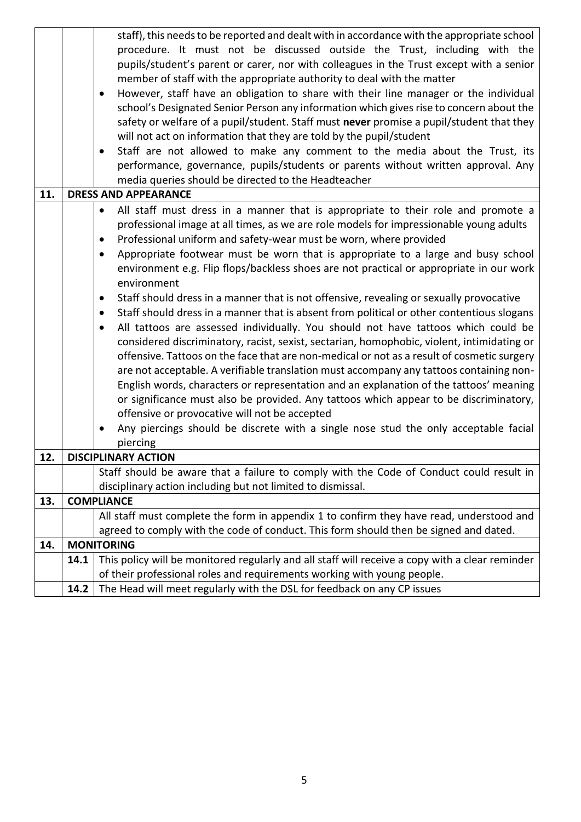|     |                                                                                                        | staff), this needs to be reported and dealt with in accordance with the appropriate school        |  |  |  |  |
|-----|--------------------------------------------------------------------------------------------------------|---------------------------------------------------------------------------------------------------|--|--|--|--|
|     |                                                                                                        | procedure. It must not be discussed outside the Trust, including with the                         |  |  |  |  |
|     |                                                                                                        | pupils/student's parent or carer, nor with colleagues in the Trust except with a senior           |  |  |  |  |
|     |                                                                                                        | member of staff with the appropriate authority to deal with the matter                            |  |  |  |  |
|     |                                                                                                        | However, staff have an obligation to share with their line manager or the individual<br>$\bullet$ |  |  |  |  |
|     |                                                                                                        | school's Designated Senior Person any information which gives rise to concern about the           |  |  |  |  |
|     |                                                                                                        | safety or welfare of a pupil/student. Staff must never promise a pupil/student that they          |  |  |  |  |
|     |                                                                                                        | will not act on information that they are told by the pupil/student                               |  |  |  |  |
|     |                                                                                                        | Staff are not allowed to make any comment to the media about the Trust, its<br>$\bullet$          |  |  |  |  |
|     |                                                                                                        | performance, governance, pupils/students or parents without written approval. Any                 |  |  |  |  |
|     |                                                                                                        | media queries should be directed to the Headteacher                                               |  |  |  |  |
| 11. |                                                                                                        | <b>DRESS AND APPEARANCE</b>                                                                       |  |  |  |  |
|     | All staff must dress in a manner that is appropriate to their role and promote a<br>$\bullet$          |                                                                                                   |  |  |  |  |
|     | professional image at all times, as we are role models for impressionable young adults                 |                                                                                                   |  |  |  |  |
|     |                                                                                                        | Professional uniform and safety-wear must be worn, where provided<br>$\bullet$                    |  |  |  |  |
|     | Appropriate footwear must be worn that is appropriate to a large and busy school<br>$\bullet$          |                                                                                                   |  |  |  |  |
|     |                                                                                                        | environment e.g. Flip flops/backless shoes are not practical or appropriate in our work           |  |  |  |  |
|     |                                                                                                        | environment                                                                                       |  |  |  |  |
|     | Staff should dress in a manner that is not offensive, revealing or sexually provocative<br>$\bullet$   |                                                                                                   |  |  |  |  |
|     | Staff should dress in a manner that is absent from political or other contentious slogans<br>$\bullet$ |                                                                                                   |  |  |  |  |
|     | All tattoos are assessed individually. You should not have tattoos which could be<br>$\bullet$         |                                                                                                   |  |  |  |  |
|     |                                                                                                        | considered discriminatory, racist, sexist, sectarian, homophobic, violent, intimidating or        |  |  |  |  |
|     |                                                                                                        | offensive. Tattoos on the face that are non-medical or not as a result of cosmetic surgery        |  |  |  |  |
|     |                                                                                                        | are not acceptable. A verifiable translation must accompany any tattoos containing non-           |  |  |  |  |
|     |                                                                                                        | English words, characters or representation and an explanation of the tattoos' meaning            |  |  |  |  |
|     |                                                                                                        | or significance must also be provided. Any tattoos which appear to be discriminatory,             |  |  |  |  |
|     |                                                                                                        | offensive or provocative will not be accepted                                                     |  |  |  |  |
|     |                                                                                                        | Any piercings should be discrete with a single nose stud the only acceptable facial<br>$\bullet$  |  |  |  |  |
|     |                                                                                                        | piercing                                                                                          |  |  |  |  |
| 12. |                                                                                                        | <b>DISCIPLINARY ACTION</b>                                                                        |  |  |  |  |
|     |                                                                                                        | Staff should be aware that a failure to comply with the Code of Conduct could result in           |  |  |  |  |
|     |                                                                                                        | disciplinary action including but not limited to dismissal.                                       |  |  |  |  |
| 13. |                                                                                                        | <b>COMPLIANCE</b>                                                                                 |  |  |  |  |
|     |                                                                                                        | All staff must complete the form in appendix 1 to confirm they have read, understood and          |  |  |  |  |
|     |                                                                                                        | agreed to comply with the code of conduct. This form should then be signed and dated.             |  |  |  |  |
| 14. |                                                                                                        | <b>MONITORING</b>                                                                                 |  |  |  |  |
|     | 14.1                                                                                                   | This policy will be monitored regularly and all staff will receive a copy with a clear reminder   |  |  |  |  |
|     |                                                                                                        | of their professional roles and requirements working with young people.                           |  |  |  |  |
|     | 14.2                                                                                                   | The Head will meet regularly with the DSL for feedback on any CP issues                           |  |  |  |  |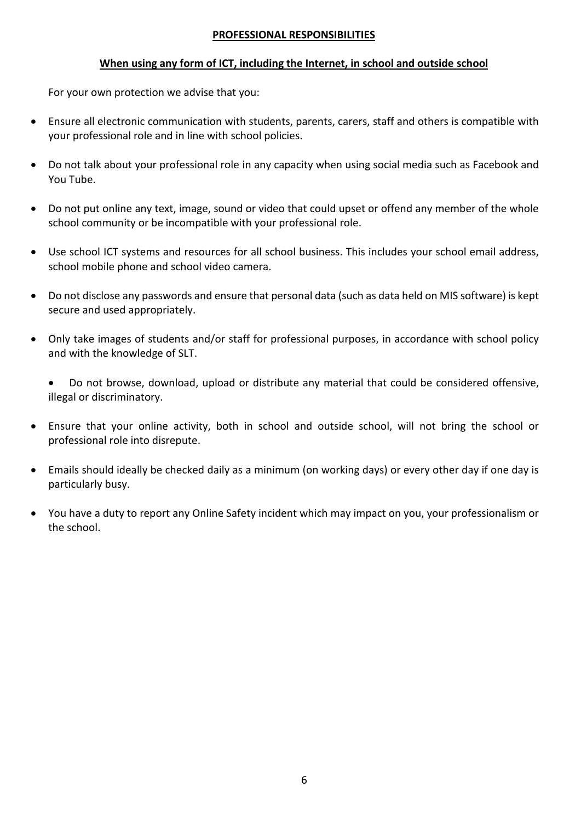#### **PROFESSIONAL RESPONSIBILITIES**

## **When using any form of ICT, including the Internet, in school and outside school**

For your own protection we advise that you:

- Ensure all electronic communication with students, parents, carers, staff and others is compatible with your professional role and in line with school policies.
- Do not talk about your professional role in any capacity when using social media such as Facebook and You Tube.
- Do not put online any text, image, sound or video that could upset or offend any member of the whole school community or be incompatible with your professional role.
- Use school ICT systems and resources for all school business. This includes your school email address, school mobile phone and school video camera.
- Do not disclose any passwords and ensure that personal data (such as data held on MIS software) is kept secure and used appropriately.
- Only take images of students and/or staff for professional purposes, in accordance with school policy and with the knowledge of SLT.

 Do not browse, download, upload or distribute any material that could be considered offensive, illegal or discriminatory.

- Ensure that your online activity, both in school and outside school, will not bring the school or professional role into disrepute.
- Emails should ideally be checked daily as a minimum (on working days) or every other day if one day is particularly busy.
- You have a duty to report any Online Safety incident which may impact on you, your professionalism or the school.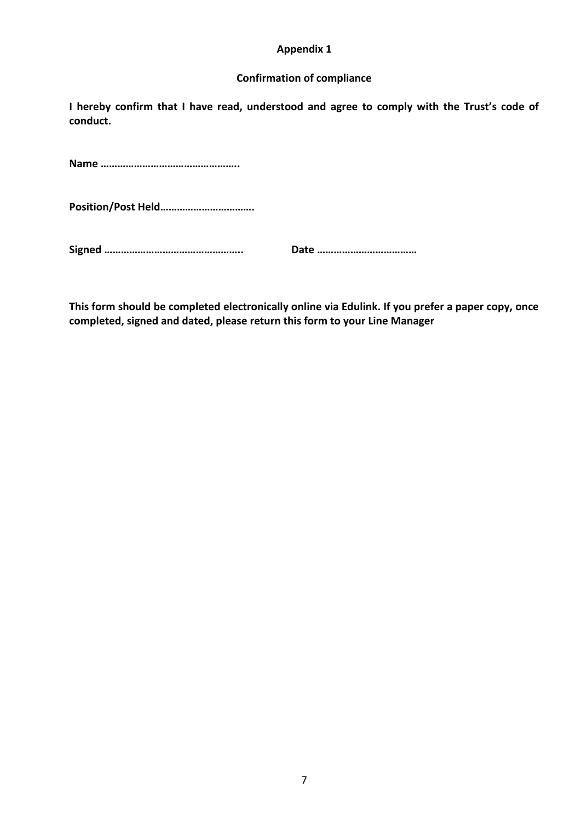#### **Appendix 1**

#### **Confirmation of compliance**

**I hereby confirm that I have read, understood and agree to comply with the Trust's code of conduct.** 

**Name …………………………………………..**

**Position/Post Held…………………………….**

**Signed ………………………………………….. Date ………………………………**

**This form should be completed electronically online via Edulink. If you prefer a paper copy, once completed, signed and dated, please return this form to your Line Manager**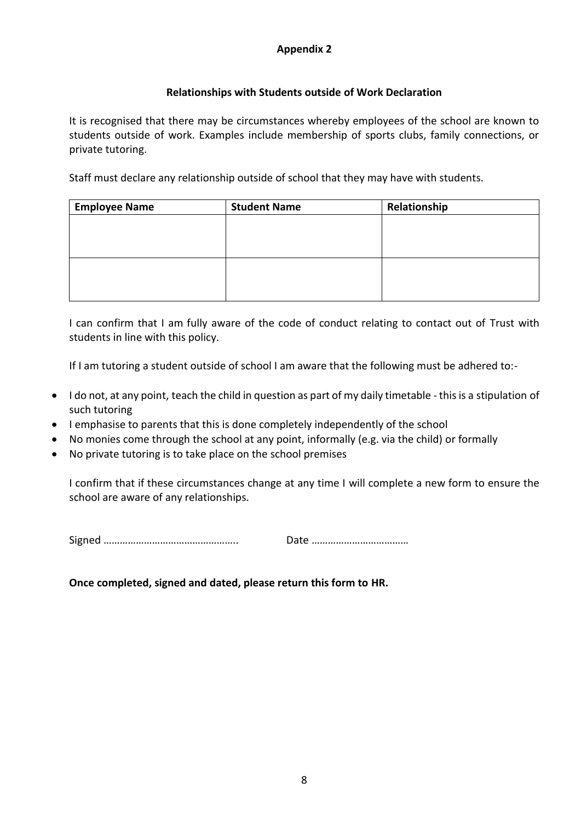## **Appendix 2**

## **Relationships with Students outside of Work Declaration**

It is recognised that there may be circumstances whereby employees of the school are known to students outside of work. Examples include membership of sports clubs, family connections, or private tutoring.

Staff must declare any relationship outside of school that they may have with students.

| <b>Employee Name</b> | <b>Student Name</b> | Relationship |
|----------------------|---------------------|--------------|
|                      |                     |              |
|                      |                     |              |
|                      |                     |              |
|                      |                     |              |
|                      |                     |              |
|                      |                     |              |

I can confirm that I am fully aware of the code of conduct relating to contact out of Trust with students in line with this policy.

If I am tutoring a student outside of school I am aware that the following must be adhered to:-

- I do not, at any point, teach the child in question as part of my daily timetable this is a stipulation of such tutoring
- I emphasise to parents that this is done completely independently of the school
- No monies come through the school at any point, informally (e.g. via the child) or formally
- No private tutoring is to take place on the school premises

I confirm that if these circumstances change at any time I will complete a new form to ensure the school are aware of any relationships.

Signed ………………………………………….. Date ………………………………

## **Once completed, signed and dated, please return this form to HR.**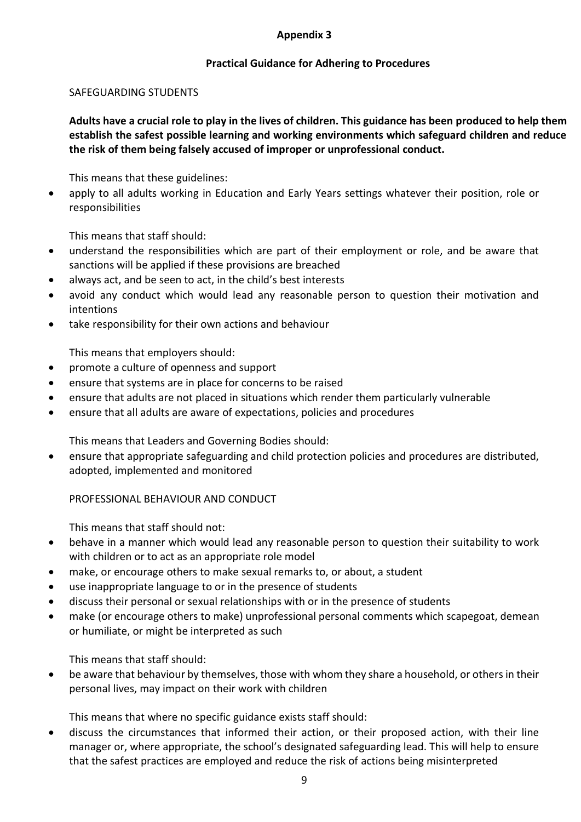#### **Appendix 3**

## **Practical Guidance for Adhering to Procedures**

#### SAFEGUARDING STUDENTS

**Adults have a crucial role to play in the lives of children. This guidance has been produced to help them establish the safest possible learning and working environments which safeguard children and reduce the risk of them being falsely accused of improper or unprofessional conduct.**

This means that these guidelines:

 apply to all adults working in Education and Early Years settings whatever their position, role or responsibilities

This means that staff should:

- understand the responsibilities which are part of their employment or role, and be aware that sanctions will be applied if these provisions are breached
- always act, and be seen to act, in the child's best interests
- avoid any conduct which would lead any reasonable person to question their motivation and intentions
- take responsibility for their own actions and behaviour

This means that employers should:

- promote a culture of openness and support
- ensure that systems are in place for concerns to be raised
- ensure that adults are not placed in situations which render them particularly vulnerable
- ensure that all adults are aware of expectations, policies and procedures

This means that Leaders and Governing Bodies should:

 ensure that appropriate safeguarding and child protection policies and procedures are distributed, adopted, implemented and monitored

PROFESSIONAL BEHAVIOUR AND CONDUCT

This means that staff should not:

- behave in a manner which would lead any reasonable person to question their suitability to work with children or to act as an appropriate role model
- make, or encourage others to make sexual remarks to, or about, a student
- use inappropriate language to or in the presence of students
- discuss their personal or sexual relationships with or in the presence of students
- make (or encourage others to make) unprofessional personal comments which scapegoat, demean or humiliate, or might be interpreted as such

This means that staff should:

 be aware that behaviour by themselves, those with whom they share a household, or others in their personal lives, may impact on their work with children

This means that where no specific guidance exists staff should:

 discuss the circumstances that informed their action, or their proposed action, with their line manager or, where appropriate, the school's designated safeguarding lead. This will help to ensure that the safest practices are employed and reduce the risk of actions being misinterpreted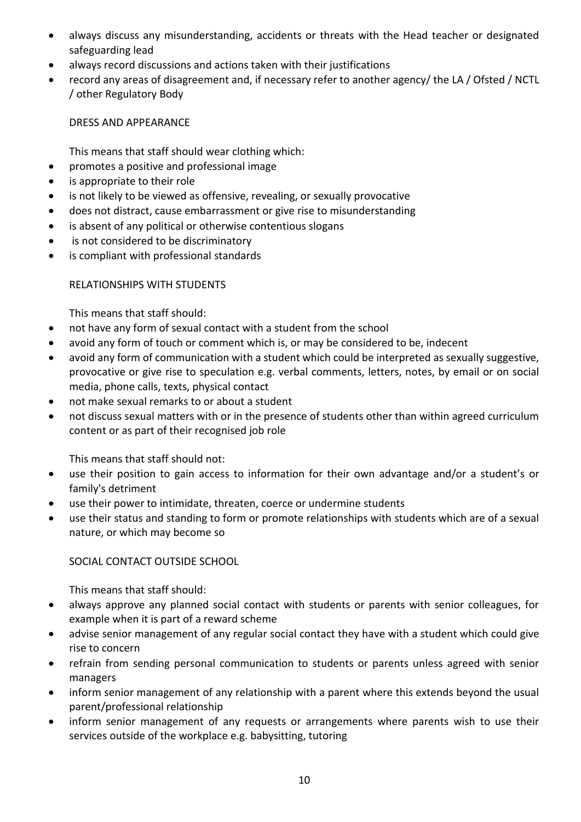- always discuss any misunderstanding, accidents or threats with the Head teacher or designated safeguarding lead
- always record discussions and actions taken with their justifications
- record any areas of disagreement and, if necessary refer to another agency/ the LA / Ofsted / NCTL / other Regulatory Body

DRESS AND APPEARANCE

This means that staff should wear clothing which:

- promotes a positive and professional image
- is appropriate to their role
- is not likely to be viewed as offensive, revealing, or sexually provocative
- does not distract, cause embarrassment or give rise to misunderstanding
- is absent of any political or otherwise contentious slogans
- is not considered to be discriminatory
- is compliant with professional standards

## RELATIONSHIPS WITH STUDENTS

This means that staff should:

- not have any form of sexual contact with a student from the school
- avoid any form of touch or comment which is, or may be considered to be, indecent
- avoid any form of communication with a student which could be interpreted as sexually suggestive, provocative or give rise to speculation e.g. verbal comments, letters, notes, by email or on social media, phone calls, texts, physical contact
- not make sexual remarks to or about a student
- not discuss sexual matters with or in the presence of students other than within agreed curriculum content or as part of their recognised job role

This means that staff should not:

- use their position to gain access to information for their own advantage and/or a student's or family's detriment
- use their power to intimidate, threaten, coerce or undermine students
- use their status and standing to form or promote relationships with students which are of a sexual nature, or which may become so

## SOCIAL CONTACT OUTSIDE SCHOOL

- always approve any planned social contact with students or parents with senior colleagues, for example when it is part of a reward scheme
- advise senior management of any regular social contact they have with a student which could give rise to concern
- refrain from sending personal communication to students or parents unless agreed with senior managers
- inform senior management of any relationship with a parent where this extends beyond the usual parent/professional relationship
- inform senior management of any requests or arrangements where parents wish to use their services outside of the workplace e.g. babysitting, tutoring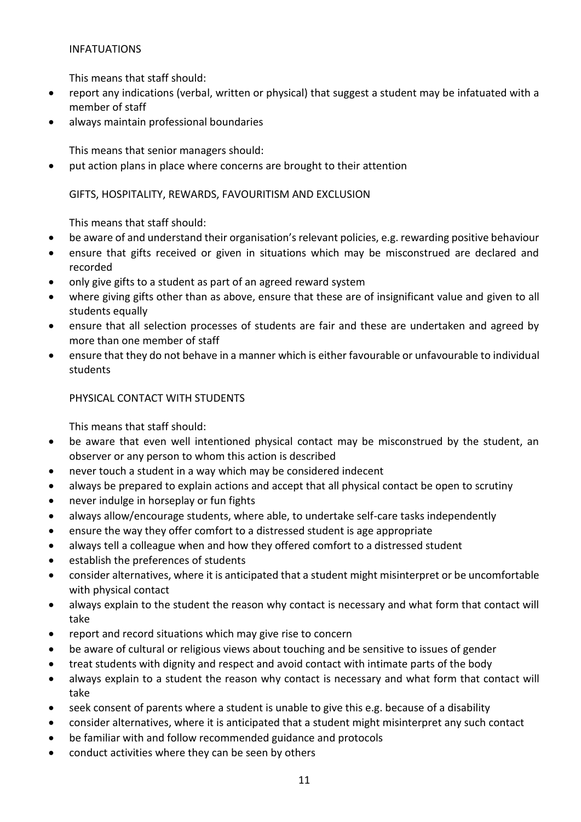## INFATUATIONS

This means that staff should:

- report any indications (verbal, written or physical) that suggest a student may be infatuated with a member of staff
- always maintain professional boundaries

This means that senior managers should:

put action plans in place where concerns are brought to their attention

#### GIFTS, HOSPITALITY, REWARDS, FAVOURITISM AND EXCLUSION

This means that staff should:

- be aware of and understand their organisation's relevant policies, e.g. rewarding positive behaviour
- ensure that gifts received or given in situations which may be misconstrued are declared and recorded
- only give gifts to a student as part of an agreed reward system
- where giving gifts other than as above, ensure that these are of insignificant value and given to all students equally
- ensure that all selection processes of students are fair and these are undertaken and agreed by more than one member of staff
- ensure that they do not behave in a manner which is either favourable or unfavourable to individual students

#### PHYSICAL CONTACT WITH STUDENTS

- be aware that even well intentioned physical contact may be misconstrued by the student, an observer or any person to whom this action is described
- never touch a student in a way which may be considered indecent
- always be prepared to explain actions and accept that all physical contact be open to scrutiny
- never indulge in horseplay or fun fights
- always allow/encourage students, where able, to undertake self-care tasks independently
- ensure the way they offer comfort to a distressed student is age appropriate
- always tell a colleague when and how they offered comfort to a distressed student
- establish the preferences of students
- consider alternatives, where it is anticipated that a student might misinterpret or be uncomfortable with physical contact
- always explain to the student the reason why contact is necessary and what form that contact will take
- report and record situations which may give rise to concern
- be aware of cultural or religious views about touching and be sensitive to issues of gender
- treat students with dignity and respect and avoid contact with intimate parts of the body
- always explain to a student the reason why contact is necessary and what form that contact will take
- seek consent of parents where a student is unable to give this e.g. because of a disability
- consider alternatives, where it is anticipated that a student might misinterpret any such contact
- be familiar with and follow recommended guidance and protocols
- conduct activities where they can be seen by others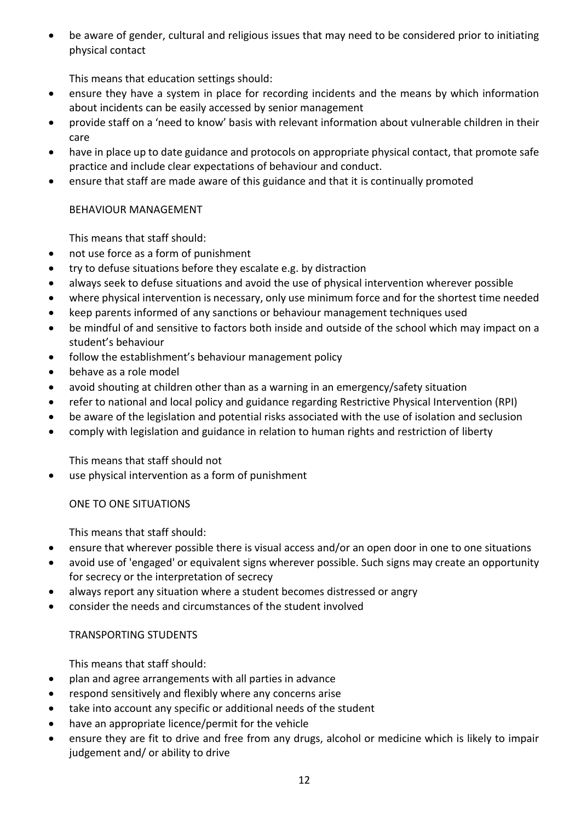be aware of gender, cultural and religious issues that may need to be considered prior to initiating physical contact

This means that education settings should:

- ensure they have a system in place for recording incidents and the means by which information about incidents can be easily accessed by senior management
- provide staff on a 'need to know' basis with relevant information about vulnerable children in their care
- have in place up to date guidance and protocols on appropriate physical contact, that promote safe practice and include clear expectations of behaviour and conduct.
- ensure that staff are made aware of this guidance and that it is continually promoted

## BEHAVIOUR MANAGEMENT

This means that staff should:

- not use force as a form of punishment
- try to defuse situations before they escalate e.g. by distraction
- always seek to defuse situations and avoid the use of physical intervention wherever possible
- where physical intervention is necessary, only use minimum force and for the shortest time needed
- keep parents informed of any sanctions or behaviour management techniques used
- be mindful of and sensitive to factors both inside and outside of the school which may impact on a student's behaviour
- follow the establishment's behaviour management policy
- behave as a role model
- avoid shouting at children other than as a warning in an emergency/safety situation
- refer to national and local policy and guidance regarding Restrictive Physical Intervention (RPI)
- be aware of the legislation and potential risks associated with the use of isolation and seclusion
- comply with legislation and guidance in relation to human rights and restriction of liberty

This means that staff should not

use physical intervention as a form of punishment

ONE TO ONE SITUATIONS

This means that staff should:

- ensure that wherever possible there is visual access and/or an open door in one to one situations
- avoid use of 'engaged' or equivalent signs wherever possible. Such signs may create an opportunity for secrecy or the interpretation of secrecy
- always report any situation where a student becomes distressed or angry
- consider the needs and circumstances of the student involved

## TRANSPORTING STUDENTS

- plan and agree arrangements with all parties in advance
- respond sensitively and flexibly where any concerns arise
- take into account any specific or additional needs of the student
- have an appropriate licence/permit for the vehicle
- ensure they are fit to drive and free from any drugs, alcohol or medicine which is likely to impair judgement and/ or ability to drive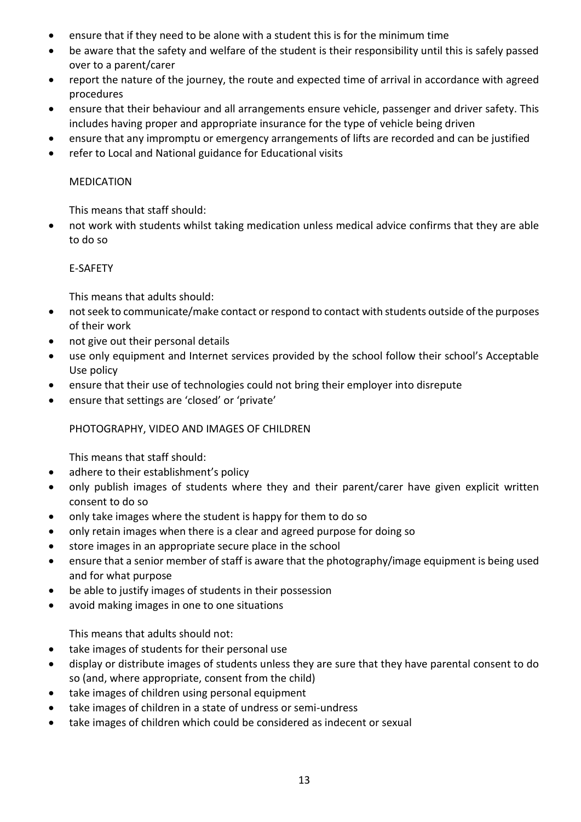- ensure that if they need to be alone with a student this is for the minimum time
- be aware that the safety and welfare of the student is their responsibility until this is safely passed over to a parent/carer
- report the nature of the journey, the route and expected time of arrival in accordance with agreed procedures
- ensure that their behaviour and all arrangements ensure vehicle, passenger and driver safety. This includes having proper and appropriate insurance for the type of vehicle being driven
- ensure that any impromptu or emergency arrangements of lifts are recorded and can be justified
- refer to Local and National guidance for Educational visits

## MEDICATION

This means that staff should:

 not work with students whilst taking medication unless medical advice confirms that they are able to do so

## E-SAFETY

This means that adults should:

- not seek to communicate/make contact or respond to contact with students outside of the purposes of their work
- not give out their personal details
- use only equipment and Internet services provided by the school follow their school's Acceptable Use policy
- ensure that their use of technologies could not bring their employer into disrepute
- ensure that settings are 'closed' or 'private'

## PHOTOGRAPHY, VIDEO AND IMAGES OF CHILDREN

This means that staff should:

- adhere to their establishment's policy
- only publish images of students where they and their parent/carer have given explicit written consent to do so
- only take images where the student is happy for them to do so
- only retain images when there is a clear and agreed purpose for doing so
- store images in an appropriate secure place in the school
- ensure that a senior member of staff is aware that the photography/image equipment is being used and for what purpose
- be able to justify images of students in their possession
- avoid making images in one to one situations

This means that adults should not:

- take images of students for their personal use
- display or distribute images of students unless they are sure that they have parental consent to do so (and, where appropriate, consent from the child)
- take images of children using personal equipment
- take images of children in a state of undress or semi-undress
- take images of children which could be considered as indecent or sexual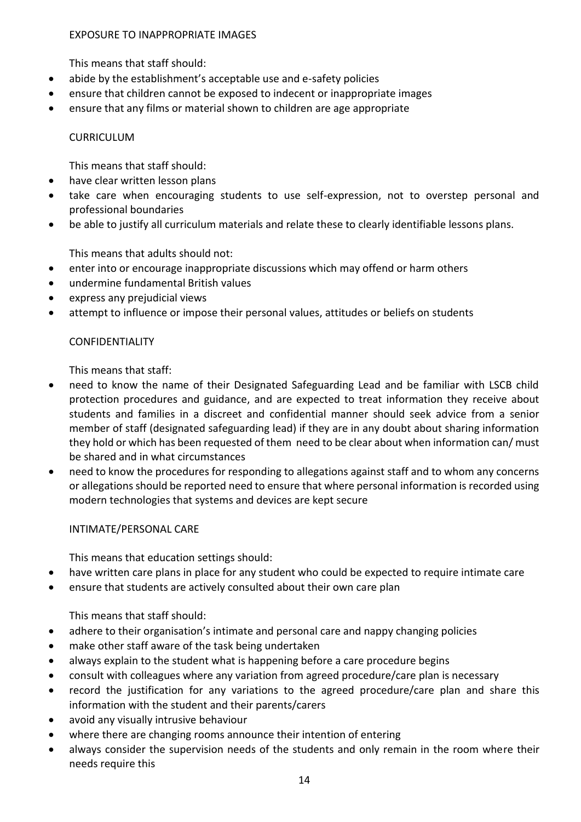#### EXPOSURE TO INAPPROPRIATE IMAGES

This means that staff should:

- abide by the establishment's acceptable use and e-safety policies
- ensure that children cannot be exposed to indecent or inappropriate images
- ensure that any films or material shown to children are age appropriate

#### CURRICULUM

This means that staff should:

- have clear written lesson plans
- take care when encouraging students to use self-expression, not to overstep personal and professional boundaries
- be able to justify all curriculum materials and relate these to clearly identifiable lessons plans.

This means that adults should not:

- enter into or encourage inappropriate discussions which may offend or harm others
- undermine fundamental British values
- express any prejudicial views
- attempt to influence or impose their personal values, attitudes or beliefs on students

## CONFIDENTIALITY

This means that staff:

- need to know the name of their Designated Safeguarding Lead and be familiar with LSCB child protection procedures and guidance, and are expected to treat information they receive about students and families in a discreet and confidential manner should seek advice from a senior member of staff (designated safeguarding lead) if they are in any doubt about sharing information they hold or which has been requested of them need to be clear about when information can/ must be shared and in what circumstances
- need to know the procedures for responding to allegations against staff and to whom any concerns or allegations should be reported need to ensure that where personal information is recorded using modern technologies that systems and devices are kept secure

INTIMATE/PERSONAL CARE

This means that education settings should:

- have written care plans in place for any student who could be expected to require intimate care
- ensure that students are actively consulted about their own care plan

- adhere to their organisation's intimate and personal care and nappy changing policies
- make other staff aware of the task being undertaken
- always explain to the student what is happening before a care procedure begins
- consult with colleagues where any variation from agreed procedure/care plan is necessary
- record the justification for any variations to the agreed procedure/care plan and share this information with the student and their parents/carers
- avoid any visually intrusive behaviour
- where there are changing rooms announce their intention of entering
- always consider the supervision needs of the students and only remain in the room where their needs require this